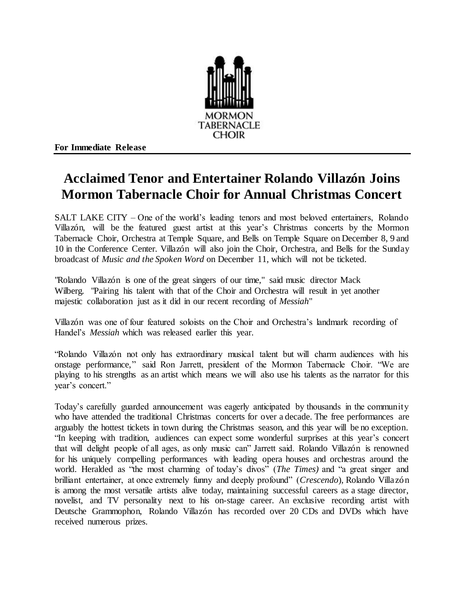

**For Immediate Release**

## **Acclaimed Tenor and Entertainer Rolando Villazón Joins Mormon Tabernacle Choir for Annual Christmas Concert**

SALT LAKE CITY – One of the world's leading tenors and most beloved entertainers, Rolando Villazón, will be the featured guest artist at this year's Christmas concerts by the Mormon Tabernacle Choir, Orchestra at Temple Square, and Bells on Temple Square on December 8, 9 and 10 in the Conference Center. Villazón will also join the Choir, Orchestra, and Bells for the Sunday broadcast of *Music and the Spoken Word* on December 11, which will not be ticketed.

"Rolando Villazón is one of the great singers of our time," said music director Mack Wilberg. "Pairing his talent with that of the Choir and Orchestra will result in yet another majestic collaboration just as it did in our recent recording of *Messiah*"

Villazón was one of four featured soloists on the Choir and Orchestra's landmark recording of Handel's *Messiah* which was released earlier this year.

"Rolando Villazón not only has extraordinary musical talent but will charm audiences with his onstage performance," said Ron Jarrett, president of the Mormon Tabernacle Choir. "We are playing to his strengths as an artist which means we will also use his talents as the narrator for this year's concert."

Today's carefully guarded announcement was eagerly anticipated by thousands in the community who have attended the traditional Christmas concerts for over a decade. The free performances are arguably the hottest tickets in town during the Christmas season, and this year will be no exception. "In keeping with tradition, audiences can expect some wonderful surprises at this year's concert that will delight people of all ages, as only music can" Jarrett said. Rolando Villazón is renowned for his uniquely compelling performances with leading opera houses and orchestras around the world. Heralded as "the most charming of today's divos" (*The Times)* and "a great singer and brilliant entertainer, at once extremely funny and deeply profound" (*Crescendo*)*,* Rolando Villazón is among the most versatile artists alive today, maintaining successful careers as a stage director, novelist, and TV personality next to his on-stage career. An exclusive recording artist with Deutsche Grammophon, Rolando Villazón has recorded over 20 CDs and DVDs which have received numerous prizes.